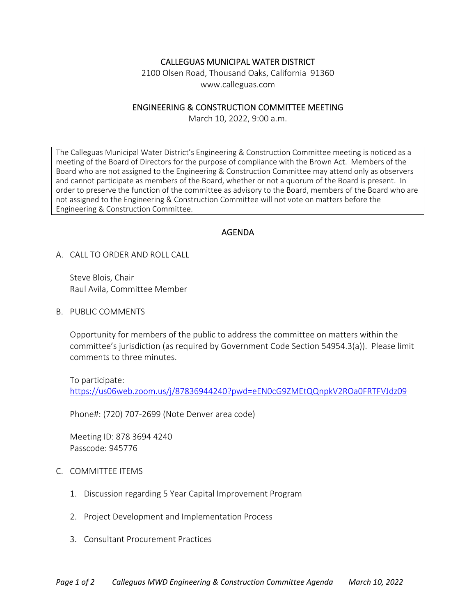# CALLEGUAS MUNICIPAL WATER DISTRICT

2100 Olsen Road, Thousand Oaks, California 91360 www.calleguas.com

### ENGINEERING & CONSTRUCTION COMMITTEE MEETING

March 10, 2022, 9:00 a.m.

The Calleguas Municipal Water District's Engineering & Construction Committee meeting is noticed as a meeting of the Board of Directors for the purpose of compliance with the Brown Act. Members of the Board who are not assigned to the Engineering & Construction Committee may attend only as observers and cannot participate as members of the Board, whether or not a quorum of the Board is present. In order to preserve the function of the committee as advisory to the Board, members of the Board who are not assigned to the Engineering & Construction Committee will not vote on matters before the Engineering & Construction Committee.

## AGENDA

A. CALL TO ORDER AND ROLL CALL

Steve Blois, Chair Raul Avila, Committee Member

B. PUBLIC COMMENTS

Opportunity for members of the public to address the committee on matters within the committee's jurisdiction (as required by Government Code Section 54954.3(a)). Please limit comments to three minutes.

To participate:

https://us06web.zoom.us/j/87836944240?pwd=eEN0cG9ZMEtQQnpkV2ROa0FRTFVJdz09

Phone#: (720) 707‐2699 (Note Denver area code)

Meeting ID: 878 3694 4240 Passcode: 945776

#### C. COMMITTEE ITEMS

- 1. Discussion regarding 5 Year Capital Improvement Program
- 2. Project Development and Implementation Process
- 3. Consultant Procurement Practices